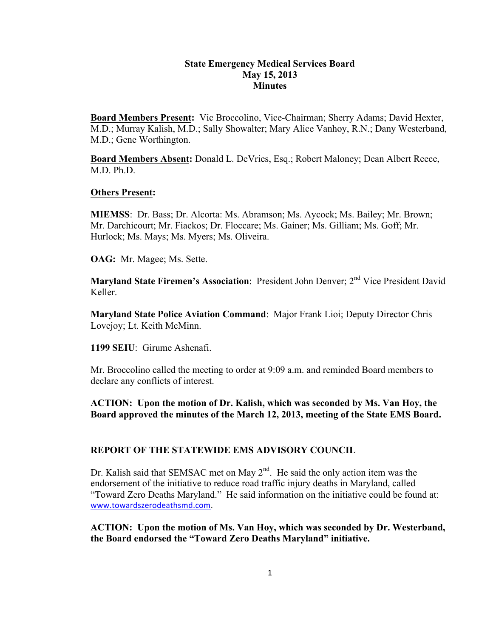## **State Emergency Medical Services Board May 15, 2013 Minutes**

**Board Members Present:** Vic Broccolino, Vice-Chairman; Sherry Adams; David Hexter, M.D.; Murray Kalish, M.D.; Sally Showalter; Mary Alice Vanhoy, R.N.; Dany Westerband, M.D.; Gene Worthington.

**Board Members Absent:** Donald L. DeVries, Esq.; Robert Maloney; Dean Albert Reece, M.D. Ph.D.

### **Others Present:**

**MIEMSS**: Dr. Bass; Dr. Alcorta: Ms. Abramson; Ms. Aycock; Ms. Bailey; Mr. Brown; Mr. Darchicourt; Mr. Fiackos; Dr. Floccare; Ms. Gainer; Ms. Gilliam; Ms. Goff; Mr. Hurlock; Ms. Mays; Ms. Myers; Ms. Oliveira.

**OAG:** Mr. Magee; Ms. Sette.

**Maryland State Firemen's Association:** President John Denver; 2<sup>nd</sup> Vice President David Keller.

**Maryland State Police Aviation Command**: Major Frank Lioi; Deputy Director Chris Lovejoy; Lt. Keith McMinn.

**1199 SEIU**: Girume Ashenafi.

Mr. Broccolino called the meeting to order at 9:09 a.m. and reminded Board members to declare any conflicts of interest.

**ACTION: Upon the motion of Dr. Kalish, which was seconded by Ms. Van Hoy, the Board approved the minutes of the March 12, 2013, meeting of the State EMS Board.**

## **REPORT OF THE STATEWIDE EMS ADVISORY COUNCIL**

Dr. Kalish said that SEMSAC met on May  $2<sup>nd</sup>$ . He said the only action item was the endorsement of the initiative to reduce road traffic injury deaths in Maryland, called "Toward Zero Deaths Maryland." He said information on the initiative could be found at: www.towardszerodeathsmd.com.

**ACTION: Upon the motion of Ms. Van Hoy, which was seconded by Dr. Westerband, the Board endorsed the "Toward Zero Deaths Maryland" initiative.**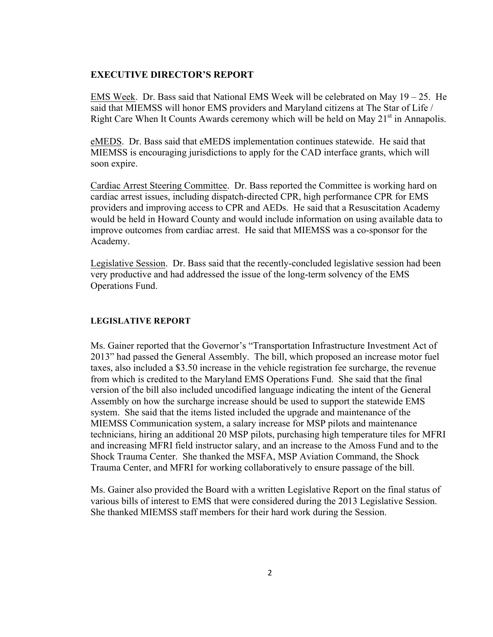#### **EXECUTIVE DIRECTOR'S REPORT**

EMS Week. Dr. Bass said that National EMS Week will be celebrated on May  $19 - 25$ . He said that MIEMSS will honor EMS providers and Maryland citizens at The Star of Life / Right Care When It Counts Awards ceremony which will be held on May  $21<sup>st</sup>$  in Annapolis.

eMEDS. Dr. Bass said that eMEDS implementation continues statewide. He said that MIEMSS is encouraging jurisdictions to apply for the CAD interface grants, which will soon expire.

Cardiac Arrest Steering Committee. Dr. Bass reported the Committee is working hard on cardiac arrest issues, including dispatch-directed CPR, high performance CPR for EMS providers and improving access to CPR and AEDs. He said that a Resuscitation Academy would be held in Howard County and would include information on using available data to improve outcomes from cardiac arrest. He said that MIEMSS was a co-sponsor for the Academy.

Legislative Session. Dr. Bass said that the recently-concluded legislative session had been very productive and had addressed the issue of the long-term solvency of the EMS Operations Fund.

## **LEGISLATIVE REPORT**

Ms. Gainer reported that the Governor's "Transportation Infrastructure Investment Act of 2013" had passed the General Assembly. The bill, which proposed an increase motor fuel taxes, also included a \$3.50 increase in the vehicle registration fee surcharge, the revenue from which is credited to the Maryland EMS Operations Fund. She said that the final version of the bill also included uncodified language indicating the intent of the General Assembly on how the surcharge increase should be used to support the statewide EMS system. She said that the items listed included the upgrade and maintenance of the MIEMSS Communication system, a salary increase for MSP pilots and maintenance technicians, hiring an additional 20 MSP pilots, purchasing high temperature tiles for MFRI and increasing MFRI field instructor salary, and an increase to the Amoss Fund and to the Shock Trauma Center. She thanked the MSFA, MSP Aviation Command, the Shock Trauma Center, and MFRI for working collaboratively to ensure passage of the bill.

Ms. Gainer also provided the Board with a written Legislative Report on the final status of various bills of interest to EMS that were considered during the 2013 Legislative Session. She thanked MIEMSS staff members for their hard work during the Session.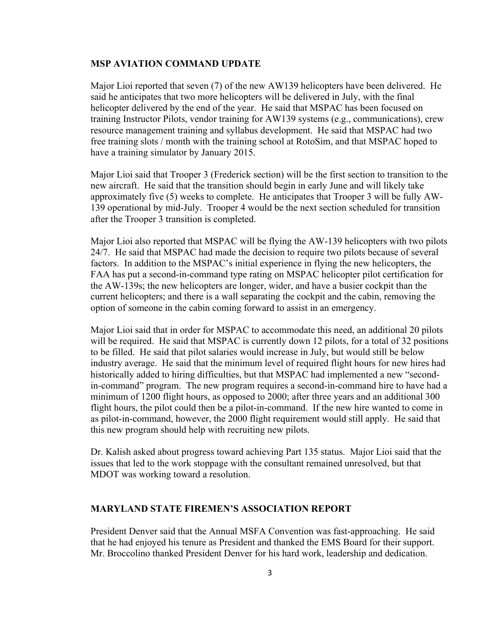#### **MSP AVIATION COMMAND UPDATE**

Major Lioi reported that seven (7) of the new AW139 helicopters have been delivered. He said he anticipates that two more helicopters will be delivered in July, with the final helicopter delivered by the end of the year. He said that MSPAC has been focused on training Instructor Pilots, vendor training for AW139 systems (e.g., communications), crew resource management training and syllabus development. He said that MSPAC had two free training slots / month with the training school at RotoSim, and that MSPAC hoped to have a training simulator by January 2015.

Major Lioi said that Trooper 3 (Frederick section) will be the first section to transition to the new aircraft. He said that the transition should begin in early June and will likely take approximately five (5) weeks to complete. He anticipates that Trooper 3 will be fully AW-139 operational by mid-July. Trooper 4 would be the next section scheduled for transition after the Trooper 3 transition is completed.

Major Lioi also reported that MSPAC will be flying the AW-139 helicopters with two pilots 24/7. He said that MSPAC had made the decision to require two pilots because of several factors. In addition to the MSPAC's initial experience in flying the new helicopters, the FAA has put a second-in-command type rating on MSPAC helicopter pilot certification for the AW-139s; the new helicopters are longer, wider, and have a busier cockpit than the current helicopters; and there is a wall separating the cockpit and the cabin, removing the option of someone in the cabin coming forward to assist in an emergency.

Major Lioi said that in order for MSPAC to accommodate this need, an additional 20 pilots will be required. He said that MSPAC is currently down 12 pilots, for a total of 32 positions to be filled. He said that pilot salaries would increase in July, but would still be below industry average. He said that the minimum level of required flight hours for new hires had historically added to hiring difficulties, but that MSPAC had implemented a new "secondin-command" program. The new program requires a second-in-command hire to have had a minimum of 1200 flight hours, as opposed to 2000; after three years and an additional 300 flight hours, the pilot could then be a pilot-in-command. If the new hire wanted to come in as pilot-in-command, however, the 2000 flight requirement would still apply. He said that this new program should help with recruiting new pilots.

Dr. Kalish asked about progress toward achieving Part 135 status. Major Lioi said that the issues that led to the work stoppage with the consultant remained unresolved, but that MDOT was working toward a resolution.

### **MARYLAND STATE FIREMEN'S ASSOCIATION REPORT**

President Denver said that the Annual MSFA Convention was fast-approaching. He said that he had enjoyed his tenure as President and thanked the EMS Board for their support. Mr. Broccolino thanked President Denver for his hard work, leadership and dedication.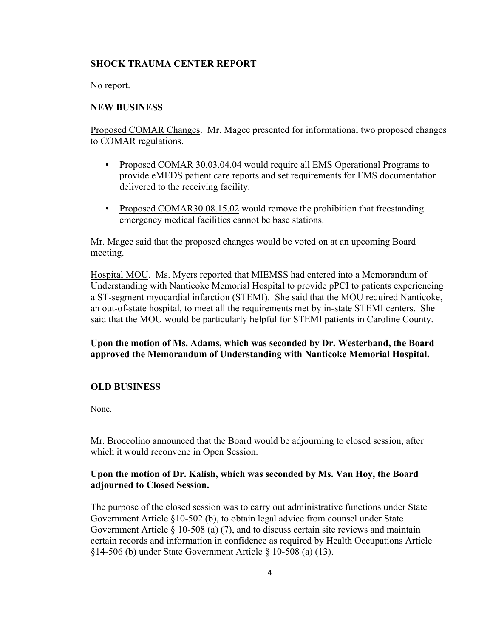## **SHOCK TRAUMA CENTER REPORT**

No report.

## **NEW BUSINESS**

Proposed COMAR Changes. Mr. Magee presented for informational two proposed changes to COMAR regulations.

- Proposed COMAR 30.03.04.04 would require all EMS Operational Programs to provide eMEDS patient care reports and set requirements for EMS documentation delivered to the receiving facility.
- Proposed COMAR30.08.15.02 would remove the prohibition that freestanding emergency medical facilities cannot be base stations.

Mr. Magee said that the proposed changes would be voted on at an upcoming Board meeting.

Hospital MOU. Ms. Myers reported that MIEMSS had entered into a Memorandum of Understanding with Nanticoke Memorial Hospital to provide pPCI to patients experiencing a ST-segment myocardial infarction (STEMI). She said that the MOU required Nanticoke, an out-of-state hospital, to meet all the requirements met by in-state STEMI centers. She said that the MOU would be particularly helpful for STEMI patients in Caroline County.

# **Upon the motion of Ms. Adams, which was seconded by Dr. Westerband, the Board approved the Memorandum of Understanding with Nanticoke Memorial Hospital.**

## **OLD BUSINESS**

None.

Mr. Broccolino announced that the Board would be adjourning to closed session, after which it would reconvene in Open Session.

## **Upon the motion of Dr. Kalish, which was seconded by Ms. Van Hoy, the Board adjourned to Closed Session.**

The purpose of the closed session was to carry out administrative functions under State Government Article §10-502 (b), to obtain legal advice from counsel under State Government Article § 10-508 (a) (7), and to discuss certain site reviews and maintain certain records and information in confidence as required by Health Occupations Article §14-506 (b) under State Government Article § 10-508 (a) (13).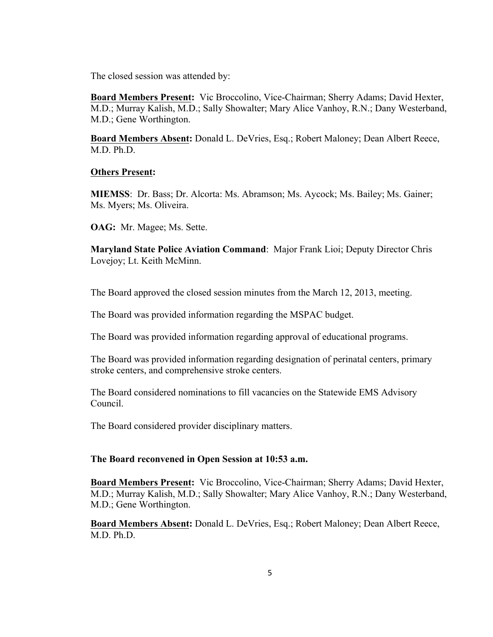The closed session was attended by:

**Board Members Present:** Vic Broccolino, Vice-Chairman; Sherry Adams; David Hexter, M.D.; Murray Kalish, M.D.; Sally Showalter; Mary Alice Vanhoy, R.N.; Dany Westerband, M.D.; Gene Worthington.

**Board Members Absent:** Donald L. DeVries, Esq.; Robert Maloney; Dean Albert Reece, M.D. Ph.D.

### **Others Present:**

**MIEMSS**: Dr. Bass; Dr. Alcorta: Ms. Abramson; Ms. Aycock; Ms. Bailey; Ms. Gainer; Ms. Myers; Ms. Oliveira.

**OAG:** Mr. Magee; Ms. Sette.

**Maryland State Police Aviation Command**: Major Frank Lioi; Deputy Director Chris Lovejoy; Lt. Keith McMinn.

The Board approved the closed session minutes from the March 12, 2013, meeting.

The Board was provided information regarding the MSPAC budget.

The Board was provided information regarding approval of educational programs.

The Board was provided information regarding designation of perinatal centers, primary stroke centers, and comprehensive stroke centers.

The Board considered nominations to fill vacancies on the Statewide EMS Advisory Council.

The Board considered provider disciplinary matters.

## **The Board reconvened in Open Session at 10:53 a.m.**

**Board Members Present:** Vic Broccolino, Vice-Chairman; Sherry Adams; David Hexter, M.D.; Murray Kalish, M.D.; Sally Showalter; Mary Alice Vanhoy, R.N.; Dany Westerband, M.D.; Gene Worthington.

**Board Members Absent:** Donald L. DeVries, Esq.; Robert Maloney; Dean Albert Reece, M.D. Ph.D.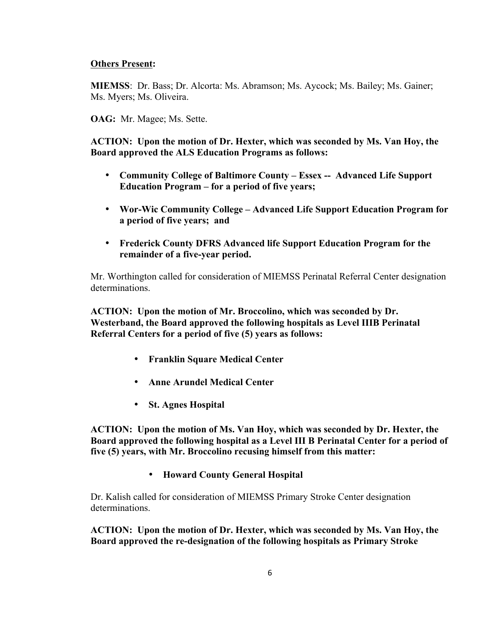## **Others Present:**

**MIEMSS**: Dr. Bass; Dr. Alcorta: Ms. Abramson; Ms. Aycock; Ms. Bailey; Ms. Gainer; Ms. Myers; Ms. Oliveira.

**OAG:** Mr. Magee; Ms. Sette.

**ACTION: Upon the motion of Dr. Hexter, which was seconded by Ms. Van Hoy, the Board approved the ALS Education Programs as follows:**

- **Community College of Baltimore County – Essex -- Advanced Life Support Education Program – for a period of five years;**
- **Wor-Wic Community College – Advanced Life Support Education Program for a period of five years; and**
- **Frederick County DFRS Advanced life Support Education Program for the remainder of a five-year period.**

Mr. Worthington called for consideration of MIEMSS Perinatal Referral Center designation determinations.

**ACTION: Upon the motion of Mr. Broccolino, which was seconded by Dr. Westerband, the Board approved the following hospitals as Level IIIB Perinatal Referral Centers for a period of five (5) years as follows:** 

- **Franklin Square Medical Center**
- **Anne Arundel Medical Center**
- **St. Agnes Hospital**

**ACTION: Upon the motion of Ms. Van Hoy, which was seconded by Dr. Hexter, the Board approved the following hospital as a Level III B Perinatal Center for a period of five (5) years, with Mr. Broccolino recusing himself from this matter:** 

• **Howard County General Hospital**

Dr. Kalish called for consideration of MIEMSS Primary Stroke Center designation determinations.

**ACTION: Upon the motion of Dr. Hexter, which was seconded by Ms. Van Hoy, the Board approved the re-designation of the following hospitals as Primary Stroke**